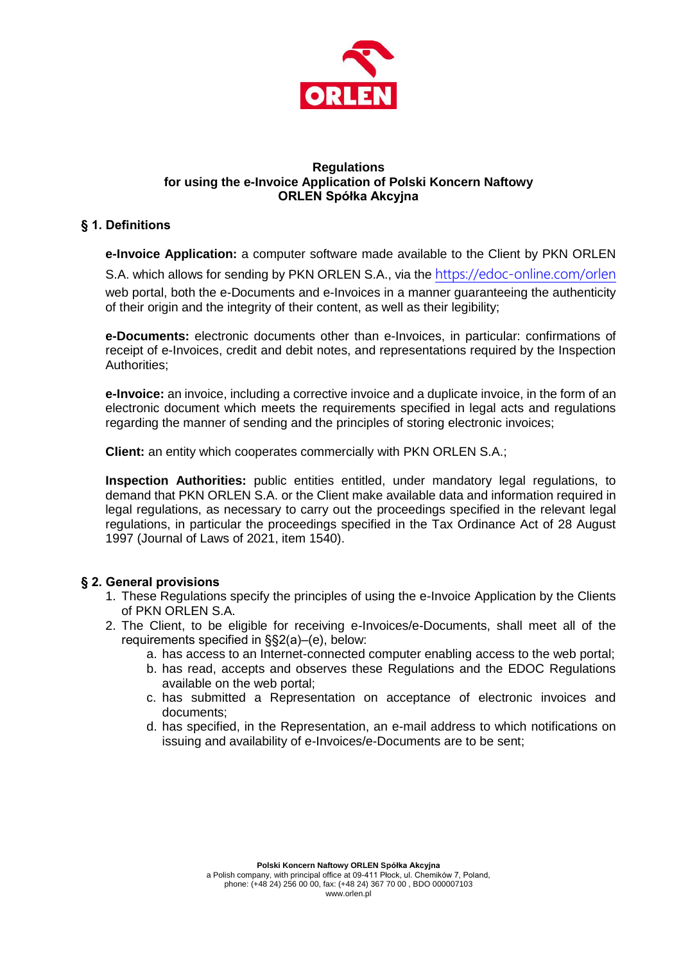

### **Regulations for using the e-Invoice Application of Polski Koncern Naftowy ORLEN Spółka Akcyjna**

# **§ 1. Definitions**

**e-Invoice Application:** a computer software made available to the Client by PKN ORLEN S.A. which allows for sending by PKN ORLEN S.A., via the <https://edoc-online.com/orlen> web portal, both the e-Documents and e-Invoices in a manner guaranteeing the authenticity of their origin and the integrity of their content, as well as their legibility;

**e-Documents:** electronic documents other than e-Invoices, in particular: confirmations of receipt of e-Invoices, credit and debit notes, and representations required by the Inspection Authorities;

**e-Invoice:** an invoice, including a corrective invoice and a duplicate invoice, in the form of an electronic document which meets the requirements specified in legal acts and regulations regarding the manner of sending and the principles of storing electronic invoices;

**Client:** an entity which cooperates commercially with PKN ORLEN S.A.;

**Inspection Authorities:** public entities entitled, under mandatory legal regulations, to demand that PKN ORLEN S.A. or the Client make available data and information required in legal regulations, as necessary to carry out the proceedings specified in the relevant legal regulations, in particular the proceedings specified in the Tax Ordinance Act of 28 August 1997 (Journal of Laws of 2021, item 1540).

## **§ 2. General provisions**

- 1. These Regulations specify the principles of using the e-Invoice Application by the Clients of PKN ORLEN S.A.
- 2. The Client, to be eligible for receiving e-Invoices/e-Documents, shall meet all of the requirements specified in §§2(a)–(e), below:
	- a. has access to an Internet-connected computer enabling access to the web portal;
	- b. has read, accepts and observes these Regulations and the EDOC Regulations available on the web portal;
	- c. has submitted a Representation on acceptance of electronic invoices and documents;
	- d. has specified, in the Representation, an e-mail address to which notifications on issuing and availability of e-Invoices/e-Documents are to be sent;

**Polski Koncern Naftowy ORLEN Spółka Akcyjna**

a Polish company, with principal office at 09-411 Płock, ul. Chemików 7, Poland, phone: (+48 24) 256 00 00, fax: (+48 24) 367 70 00 , BDO 000007103 www.orlen.pl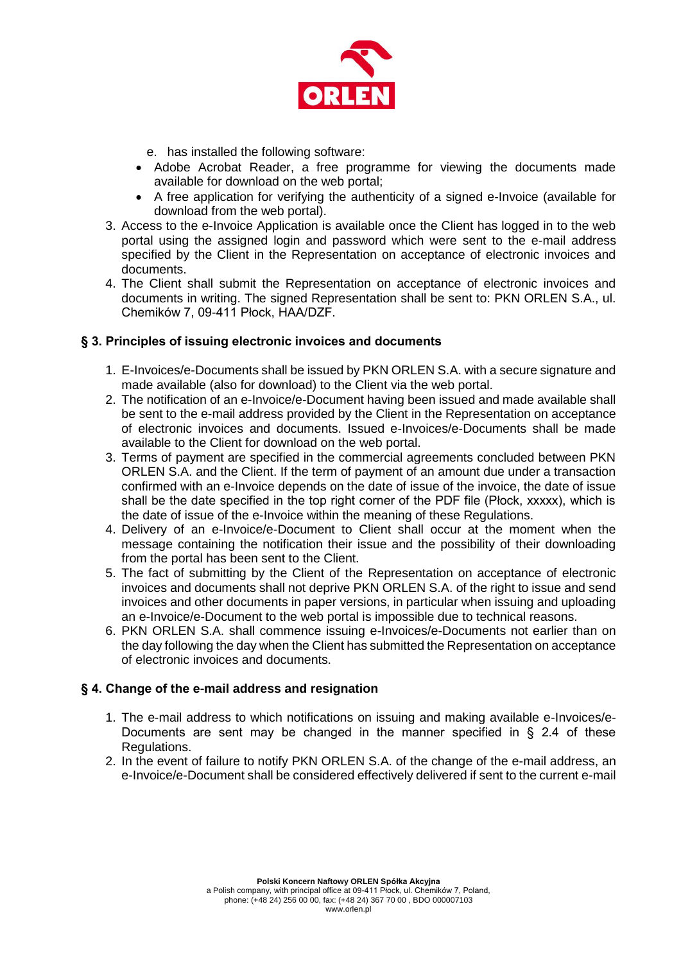

- e. has installed the following software:
- Adobe Acrobat Reader, a free programme for viewing the documents made available for download on the web portal;
- A free application for verifying the authenticity of a signed e-Invoice (available for download from the web portal).
- 3. Access to the e-Invoice Application is available once the Client has logged in to the web portal using the assigned login and password which were sent to the e-mail address specified by the Client in the Representation on acceptance of electronic invoices and documents.
- 4. The Client shall submit the Representation on acceptance of electronic invoices and documents in writing. The signed Representation shall be sent to: PKN ORLEN S.A., ul. Chemików 7, 09-411 Płock, HAA/DZF.

## **§ 3. Principles of issuing electronic invoices and documents**

- 1. E-Invoices/e-Documents shall be issued by PKN ORLEN S.A. with a secure signature and made available (also for download) to the Client via the web portal.
- 2. The notification of an e-Invoice/e-Document having been issued and made available shall be sent to the e-mail address provided by the Client in the Representation on acceptance of electronic invoices and documents. Issued e-Invoices/e-Documents shall be made available to the Client for download on the web portal.
- 3. Terms of payment are specified in the commercial agreements concluded between PKN ORLEN S.A. and the Client. If the term of payment of an amount due under a transaction confirmed with an e-Invoice depends on the date of issue of the invoice, the date of issue shall be the date specified in the top right corner of the PDF file (Płock, xxxxx), which is the date of issue of the e-Invoice within the meaning of these Regulations.
- 4. Delivery of an e-Invoice/e-Document to Client shall occur at the moment when the message containing the notification their issue and the possibility of their downloading from the portal has been sent to the Client.
- 5. The fact of submitting by the Client of the Representation on acceptance of electronic invoices and documents shall not deprive PKN ORLEN S.A. of the right to issue and send invoices and other documents in paper versions, in particular when issuing and uploading an e-Invoice/e-Document to the web portal is impossible due to technical reasons.
- 6. PKN ORLEN S.A. shall commence issuing e-Invoices/e-Documents not earlier than on the day following the day when the Client has submitted the Representation on acceptance of electronic invoices and documents.

## **§ 4. Change of the e-mail address and resignation**

- 1. The e-mail address to which notifications on issuing and making available e-Invoices/e-Documents are sent may be changed in the manner specified in § 2.4 of these Regulations.
- 2. In the event of failure to notify PKN ORLEN S.A. of the change of the e-mail address, an e-Invoice/e-Document shall be considered effectively delivered if sent to the current e-mail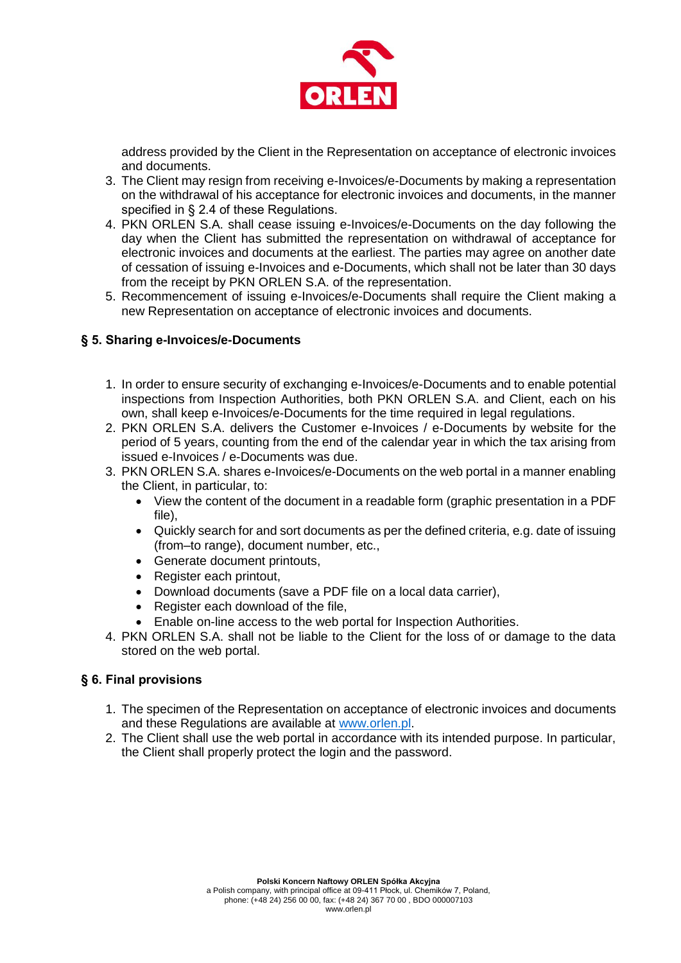

address provided by the Client in the Representation on acceptance of electronic invoices and documents.

- 3. The Client may resign from receiving e-Invoices/e-Documents by making a representation on the withdrawal of his acceptance for electronic invoices and documents, in the manner specified in § 2.4 of these Regulations.
- 4. PKN ORLEN S.A. shall cease issuing e-Invoices/e-Documents on the day following the day when the Client has submitted the representation on withdrawal of acceptance for electronic invoices and documents at the earliest. The parties may agree on another date of cessation of issuing e-Invoices and e-Documents, which shall not be later than 30 days from the receipt by PKN ORLEN S.A. of the representation.
- 5. Recommencement of issuing e-Invoices/e-Documents shall require the Client making a new Representation on acceptance of electronic invoices and documents.

# **§ 5. Sharing e-Invoices/e-Documents**

- 1. In order to ensure security of exchanging e-Invoices/e-Documents and to enable potential inspections from Inspection Authorities, both PKN ORLEN S.A. and Client, each on his own, shall keep e-Invoices/e-Documents for the time required in legal regulations.
- 2. PKN ORLEN S.A. delivers the Customer e-Invoices / e-Documents by website for the period of 5 years, counting from the end of the calendar year in which the tax arising from issued e-Invoices / e-Documents was due.
- 3. PKN ORLEN S.A. shares e-Invoices/e-Documents on the web portal in a manner enabling the Client, in particular, to:
	- View the content of the document in a readable form (graphic presentation in a PDF file),
	- Quickly search for and sort documents as per the defined criteria, e.g. date of issuing (from–to range), document number, etc.,
	- Generate document printouts,
	- Register each printout,
	- Download documents (save a PDF file on a local data carrier),
	- Register each download of the file,
	- Enable on-line access to the web portal for Inspection Authorities.
- 4. PKN ORLEN S.A. shall not be liable to the Client for the loss of or damage to the data stored on the web portal.

## **§ 6. Final provisions**

- 1. The specimen of the Representation on acceptance of electronic invoices and documents and these Regulations are available at [www.orlen.pl.](http://www.orlen.pl/)
- 2. The Client shall use the web portal in accordance with its intended purpose. In particular, the Client shall properly protect the login and the password.